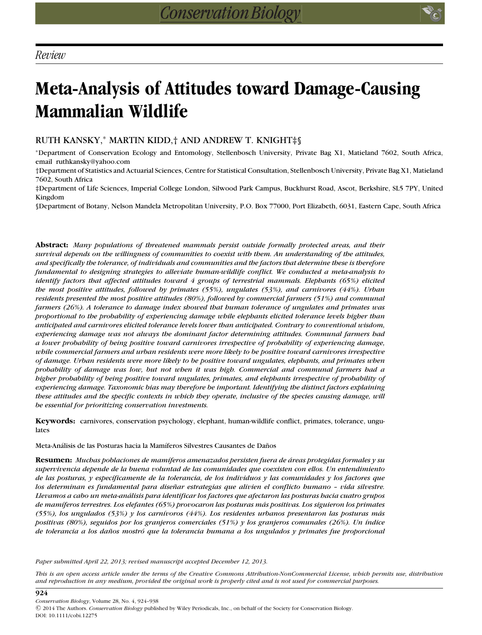# **Meta-Analysis of Attitudes toward Damage-Causing Mammalian Wildlife**

# RUTH KANSKY,<sup>∗</sup> MARTIN KIDD,† AND ANDREW T. KNIGHT‡§

<sup>∗</sup>Department of Conservation Ecology and Entomology, Stellenbosch University, Private Bag X1, Matieland 7602, South Africa, email ruthkansky@yahoo.com

†Department of Statistics and Actuarial Sciences, Centre for Statistical Consultation, Stellenbosch University, Private Bag X1, Matieland 7602, South Africa

‡Department of Life Sciences, Imperial College London, Silwood Park Campus, Buckhurst Road, Ascot, Berkshire, SL5 7PY, United Kingdom

§Department of Botany, Nelson Mandela Metropolitan University, P.O. Box 77000, Port Elizabeth, 6031, Eastern Cape, South Africa

**Abstract:** *Many populations of threatened mammals persist outside formally protected areas, and their survival depends on the willingness of communities to coexist with them. An understanding of the attitudes, and specifically the tolerance, of individuals and communities and the factors that determine these is therefore fundamental to designing strategies to alleviate human-wildlife conflict. We conducted a meta-analysis to identify factors that affected attitudes toward 4 groups of terrestrial mammals. Elephants (65%) elicited the most positive attitudes, followed by primates (55%), ungulates (53%), and carnivores (44%). Urban residents presented the most positive attitudes (80%), followed by commercial farmers (51%) and communal farmers (26%). A tolerance to damage index showed that human tolerance of ungulates and primates was proportional to the probability of experiencing damage while elephants elicited tolerance levels higher than anticipated and carnivores elicited tolerance levels lower than anticipated. Contrary to conventional wisdom, experiencing damage was not always the dominant factor determining attitudes. Communal farmers had a lower probability of being positive toward carnivores irrespective of probability of experiencing damage, while commercial farmers and urban residents were more likely to be positive toward carnivores irrespective of damage. Urban residents were more likely to be positive toward ungulates, elephants, and primates when probability of damage was low, but not when it was high. Commercial and communal farmers had a higher probability of being positive toward ungulates, primates, and elephants irrespective of probability of experiencing damage. Taxonomic bias may therefore be important. Identifying the distinct factors explaining these attitudes and the specific contexts in which they operate, inclusive of the species causing damage, will be essential for prioritizing conservation investments.*

**Keywords:** carnivores, conservation psychology, elephant, human-wildlife conflict, primates, tolerance, ungulates

Meta-Análisis de las Posturas hacia la Mamíferos Silvestres Causantes de Daños

**Resumen:** *Muchas poblaciones de mam´ıferos amenazados persisten fuera de areas protegidas formales y su ´ supervivencia depende de la buena voluntad de las comunidades que coexisten con ellos. Un entendimiento de las posturas, y espec´ıficamente de la tolerancia, de los individuos y las comunidades y los factores que los determinan es fundamental para disenar estrategias que alivien el conflicto humano – vida silvestre. ˜ Llevamos a cabo un meta-analisis para identificar los factores que afectaron las posturas hacia cuatro grupos ´ de mam´ıferos terrestres. Los elefantes (65%) provocaron las posturas mas positivas. Los siguieron los primates ´ (55%), los ungulados (53%) y los carn´ıvoros (44%). Los residentes urbanos presentaron las posturas mas ´ positivas (80%), seguidos por los granjeros comerciales (51%) y los granjeros comunales (26%). Un ´ındice* de tolerancia a los daños mostró que la tolerancia humana a los ungulados y primates fue proporcional

*Paper submitted April 22, 2013; revised manuscript accepted December 12, 2013.*

**924**

*This is an open access article under the terms of the Creative Commons Attribution-NonCommercial License, which permits use, distribution and reproduction in any medium, provided the original work is properly cited and is not used for commercial purposes.*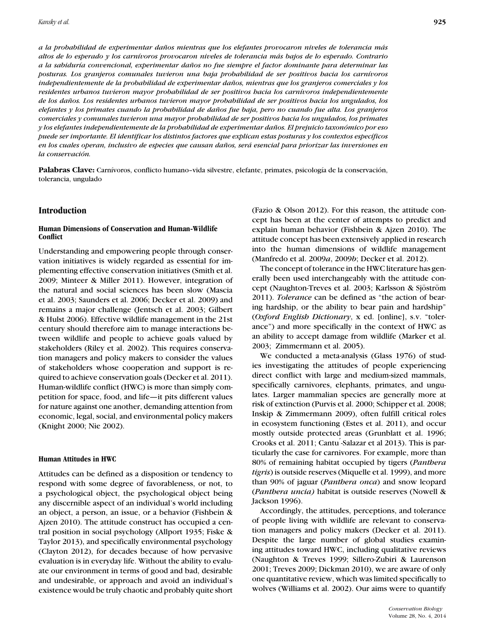*a la probabilidad de experimentar danos mientras que los elefantes provocaron niveles de tolerancia m ˜ as ´ altos de lo esperado y los carn´ıvoros provocaron niveles de tolerancia mas bajos de lo esperado. Contrario ´ a la sabidur´ıa convencional, experimentar danos no fue siempre el factor dominante para determinar las ˜ posturas. Los granjeros comunales tuvieron una baja probabilidad de ser positivos hacia los carn´ıvoros independientemente de la probabilidad de experimentar danos, mientras que los granjeros comerciales y los ˜ residentes urbanos tuvieron mayor probabilidad de ser positivos hacia los carn´ıvoros independientemente de los danos. Los residentes urbanos tuvieron mayor probabilidad de ser positivos hacia los ungulados, los ˜ elefantes y los primates cuando la probabilidad de danos fue baja, pero no cuando fue alta. Los granjeros ˜ comerciales y comunales tuvieron una mayor probabilidad de ser positivos hacia los ungulados, los primates y los elefantes independientemente de la probabilidad de experimentar danos. El prejuicio taxon ˜ omico por eso ´ puede ser importante. El identificar los distintos factores que explican estas posturas y los contextos espec´ıficos en los cuales operan, inclusivo de especies que causan danos, ser ˜ a esencial para priorizar las inversiones en ´ la conservacion. ´*

**Palabras Clave:** Carnívoros, conflicto humano-vida silvestre, elefante, primates, psicología de la conservación, tolerancia, ungulado

## **Introduction**

#### **Human Dimensions of Conservation and Human-Wildlife Conflict**

Understanding and empowering people through conservation initiatives is widely regarded as essential for implementing effective conservation initiatives (Smith et al. 2009; Minteer & Miller 2011). However, integration of the natural and social sciences has been slow (Mascia et al. 2003; Saunders et al. 2006; Decker et al. 2009) and remains a major challenge (Jentsch et al. 2003; Gilbert & Hulst 2006). Effective wildlife management in the 21st century should therefore aim to manage interactions between wildlife and people to achieve goals valued by stakeholders (Riley et al. 2002). This requires conservation managers and policy makers to consider the values of stakeholders whose cooperation and support is required to achieve conservation goals (Decker et al. 2011). Human-wildlife conflict (HWC) is more than simply competition for space, food, and life—it pits different values for nature against one another, demanding attention from economic, legal, social, and environmental policy makers (Knight 2000; Nie 2002).

#### **Human Attitudes in HWC**

Attitudes can be defined as a disposition or tendency to respond with some degree of favorableness, or not, to a psychological object, the psychological object being any discernible aspect of an individual's world including an object, a person, an issue, or a behavior (Fishbein & Ajzen 2010). The attitude construct has occupied a central position in social psychology (Allport 1935; Fiske & Taylor 2013), and specifically environmental psychology (Clayton 2012), for decades because of how pervasive evaluation is in everyday life. Without the ability to evaluate our environment in terms of good and bad, desirable and undesirable, or approach and avoid an individual's existence would be truly chaotic and probably quite short (Fazio & Olson 2012). For this reason, the attitude concept has been at the center of attempts to predict and explain human behavior (Fishbein & Ajzen 2010). The attitude concept has been extensively applied in research into the human dimensions of wildlife management (Manfredo et al. 2009*a*, 2009*b*; Decker et al. 2012).

The concept of tolerance in the HWC literature has generally been used interchangeably with the attitude concept (Naughton-Treves et al. 2003; Karlsson & Sjöström 2011). *Tolerance* can be defined as "the action of bearing hardship, or the ability to bear pain and hardship" (*Oxford English Dictionary*, x ed. [online], s.v. "tolerance") and more specifically in the context of HWC as an ability to accept damage from wildlife (Marker et al. 2003; Zimmermann et al. 2005).

We conducted a meta-analysis (Glass 1976) of studies investigating the attitudes of people experiencing direct conflict with large and medium-sized mammals, specifically carnivores, elephants, primates, and ungulates. Larger mammalian species are generally more at risk of extinction (Purvis et al. 2000; Schipper et al. 2008; Inskip & Zimmermann 2009), often fulfill critical roles in ecosystem functioning (Estes et al. 2011), and occur mostly outside protected areas (Grunblatt et al. 1996; Crooks et al. 2011; Cantu ́-Salazar et al 2013). This is particularly the case for carnivores. For example, more than 80% of remaining habitat occupied by tigers (*Panthera tigris*) is outside reserves (Miquelle et al. 1999), and more than 90% of jaguar (*Panthera onca*) and snow leopard (*Panthera uncia)* habitat is outside reserves (Nowell & Jackson 1996).

Accordingly, the attitudes, perceptions, and tolerance of people living with wildlife are relevant to conservation managers and policy makers (Decker et al. 2011). Despite the large number of global studies examining attitudes toward HWC, including qualitative reviews (Naughton & Treves 1999; Sillero-Zubiri & Laurenson 2001; Treves 2009; Dickman 2010), we are aware of only one quantitative review, which was limited specifically to wolves (Williams et al. 2002). Our aims were to quantify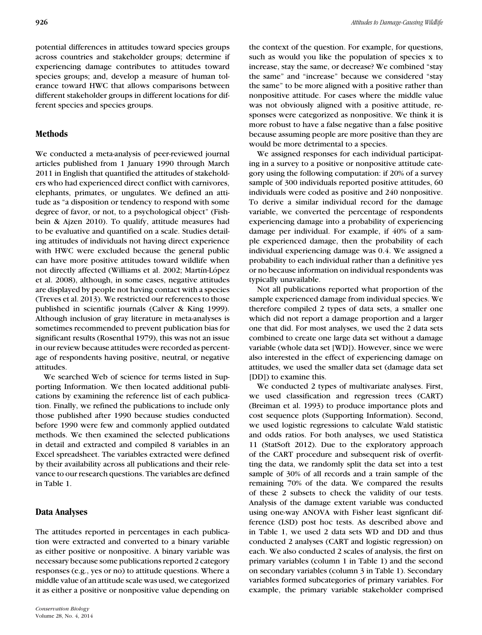potential differences in attitudes toward species groups across countries and stakeholder groups; determine if experiencing damage contributes to attitudes toward species groups; and, develop a measure of human tolerance toward HWC that allows comparisons between different stakeholder groups in different locations for different species and species groups.

# **Methods**

We conducted a meta-analysis of peer-reviewed journal articles published from 1 January 1990 through March 2011 in English that quantified the attitudes of stakeholders who had experienced direct conflict with carnivores, elephants, primates, or ungulates. We defined an attitude as "a disposition or tendency to respond with some degree of favor, or not, to a psychological object" (Fishbein & Ajzen 2010). To qualify, attitude measures had to be evaluative and quantified on a scale. Studies detailing attitudes of individuals not having direct experience with HWC were excluded because the general public can have more positive attitudes toward wildlife when not directly affected (Williams et al. 2002; Martín-López et al. 2008), although, in some cases, negative attitudes are displayed by people not having contact with a species (Treves et al. 2013). We restricted our references to those published in scientific journals (Calver & King 1999). Although inclusion of gray literature in meta-analyses is sometimes recommended to prevent publication bias for significant results (Rosenthal 1979), this was not an issue in our review because attitudes were recorded as percentage of respondents having positive, neutral, or negative attitudes.

We searched Web of science for terms listed in Supporting Information. We then located additional publications by examining the reference list of each publication. Finally, we refined the publications to include only those published after 1990 because studies conducted before 1990 were few and commonly applied outdated methods. We then examined the selected publications in detail and extracted and compiled 8 variables in an Excel spreadsheet. The variables extracted were defined by their availability across all publications and their relevance to our research questions. The variables are defined in Table 1.

## **Data Analyses**

The attitudes reported in percentages in each publication were extracted and converted to a binary variable as either positive or nonpositive. A binary variable was necessary because some publications reported 2 category responses (e.g., yes or no) to attitude questions. Where a middle value of an attitude scale was used, we categorized it as either a positive or nonpositive value depending on

the context of the question. For example, for questions, such as would you like the population of species x to increase, stay the same, or decrease? We combined "stay the same" and "increase" because we considered "stay the same" to be more aligned with a positive rather than nonpositive attitude. For cases where the middle value was not obviously aligned with a positive attitude, responses were categorized as nonpositive. We think it is more robust to have a false negative than a false positive because assuming people are more positive than they are would be more detrimental to a species.

We assigned responses for each individual participating in a survey to a positive or nonpositive attitude category using the following computation: if 20% of a survey sample of 300 individuals reported positive attitudes, 60 individuals were coded as positive and 240 nonpositive. To derive a similar individual record for the damage variable, we converted the percentage of respondents experiencing damage into a probability of experiencing damage per individual. For example, if 40% of a sample experienced damage, then the probability of each individual experiencing damage was 0.4. We assigned a probability to each individual rather than a definitive yes or no because information on individual respondents was typically unavailable.

Not all publications reported what proportion of the sample experienced damage from individual species. We therefore compiled 2 types of data sets, a smaller one which did not report a damage proportion and a larger one that did. For most analyses, we used the 2 data sets combined to create one large data set without a damage variable (whole data set [WD]). However, since we were also interested in the effect of experiencing damage on attitudes, we used the smaller data set (damage data set [DD]) to examine this.

We conducted 2 types of multivariate analyses. First, we used classification and regression trees (CART) (Breiman et al. 1993) to produce importance plots and cost sequence plots (Supporting Information). Second, we used logistic regressions to calculate Wald statistic and odds ratios. For both analyses, we used Statistica 11 (StatSoft 2012). Due to the exploratory approach of the CART procedure and subsequent risk of overfitting the data, we randomly split the data set into a test sample of 30% of all records and a train sample of the remaining 70% of the data. We compared the results of these 2 subsets to check the validity of our tests. Analysis of the damage extent variable was conducted using one-way ANOVA with Fisher least signficant difference (LSD) post hoc tests. As described above and in Table 1, we used 2 data sets WD and DD and thus conducted 2 analyses (CART and logistic regression) on each. We also conducted 2 scales of analysis, the first on primary variables (column 1 in Table 1) and the second on secondary variables (column 3 in Table 1). Secondary variables formed subcategories of primary variables. For example, the primary variable stakeholder comprised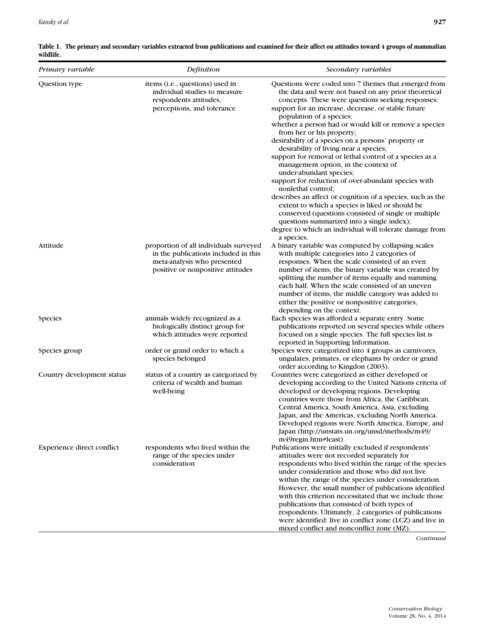| Primary variable           | Definition                                                                                                                                         | Secondary variables                                                                                                                                                                                                                                                                                                                                                                                                                                                                                                                                                                                                                                                                                                                                                                                                                                                                                                                        |
|----------------------------|----------------------------------------------------------------------------------------------------------------------------------------------------|--------------------------------------------------------------------------------------------------------------------------------------------------------------------------------------------------------------------------------------------------------------------------------------------------------------------------------------------------------------------------------------------------------------------------------------------------------------------------------------------------------------------------------------------------------------------------------------------------------------------------------------------------------------------------------------------------------------------------------------------------------------------------------------------------------------------------------------------------------------------------------------------------------------------------------------------|
| Question type              | items (i.e., questions) used in<br>individual studies to measure<br>respondents attitudes,<br>perceptions, and tolerance                           | Questions were coded into 7 themes that emerged from<br>the data and were not based on any prior theoretical<br>concepts. These were questions seeking responses:<br>support for an increase, decrease, or stable future<br>population of a species;<br>whether a person had or would kill or remove a species<br>from her or his property;<br>desirability of a species on a persons' property or<br>desirability of living near a species;<br>support for removal or lethal control of a species as a<br>management option, in the context of<br>under-abundant species;<br>support for reduction of over-abundant species with<br>nonlethal control;<br>describes an affect or cognition of a species, such as the<br>extent to which a species is liked or should be<br>conserved (questions consisted of single or multiple)<br>questions summarized into a single index);<br>degree to which an individual will tolerate damage from |
| Attitude                   | proportion of all individuals surveyed<br>in the publications included in this<br>meta-analysis who presented<br>positive or nonpositive attitudes | a species.<br>A binary variable was computed by collapsing scales<br>with multiple categories into 2 categories of<br>responses. When the scale consisted of an even<br>number of items, the binary variable was created by<br>splitting the number of items equally and summing<br>each half. When the scale consisted of an uneven<br>number of items, the middle category was added to<br>either the positive or nonpositive categories,<br>depending on the context.                                                                                                                                                                                                                                                                                                                                                                                                                                                                   |
| <b>Species</b>             | animals widely recognized as a<br>biologically distinct group for<br>which attitudes were reported                                                 | Each species was afforded a separate entry. Some<br>publications reported on several species while others<br>focused on a single species. The full species list is<br>reported in Supporting Information.                                                                                                                                                                                                                                                                                                                                                                                                                                                                                                                                                                                                                                                                                                                                  |
| Species group              | order or grand order to which a<br>species belonged                                                                                                | Species were categorized into 4 groups as carnivores,<br>ungulates, primates, or elephants by order or grand<br>order according to Kingdon (2003).                                                                                                                                                                                                                                                                                                                                                                                                                                                                                                                                                                                                                                                                                                                                                                                         |
| Country development status | status of a country as categorized by<br>criteria of wealth and human<br>well-being                                                                | Countries were categorized as either developed or<br>developing according to the United Nations criteria of<br>developed or developing regions. Developing<br>countries were those from Africa, the Caribbean,<br>Central America, South America, Asia, excluding<br>Japan, and the Americas, excluding North America.<br>Developed regions were North America, Europe, and<br>Japan (http://unstats.un.org/unsd/methods/m49/<br>m49regin.htm#least)                                                                                                                                                                                                                                                                                                                                                                                                                                                                                       |
| Experience direct conflict | respondents who lived within the<br>range of the species under<br>consideration                                                                    | Publications were initially excluded if respondents'<br>attitudes were not recorded separately for<br>respondents who lived within the range of the species<br>under consideration and those who did not live<br>within the range of the species under consideration.<br>However, the small number of publications identified<br>with this criterion necessitated that we include those<br>publications that consisted of both types of<br>respondents. Ultimately, 2 categories of publications<br>were identified: live in conflict zone (LCZ) and live in<br>mixed conflict and nonconflict zone (MZ).                                                                                                                                                                                                                                                                                                                                  |

|           | Table 1. The primary and secondary variables extracted from publications and examined for their affect on attitudes toward 4 groups of mammalian |
|-----------|--------------------------------------------------------------------------------------------------------------------------------------------------|
| wildlife. |                                                                                                                                                  |

*Continued*

*Conservation Biology* Volume 28, No. 4, 2014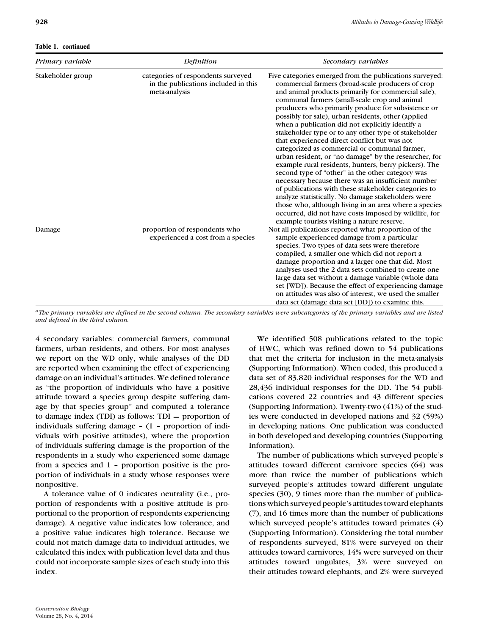|  | Table 1. continued |
|--|--------------------|
|--|--------------------|

| Primary variable  | Definition                                                                                  | Secondary variables                                                                                                                                                                                                                                                                                                                                                                                                                                                                                                                                                                                                                                                                                                                                                                                                                                                                                                                                                                                                                                       |  |
|-------------------|---------------------------------------------------------------------------------------------|-----------------------------------------------------------------------------------------------------------------------------------------------------------------------------------------------------------------------------------------------------------------------------------------------------------------------------------------------------------------------------------------------------------------------------------------------------------------------------------------------------------------------------------------------------------------------------------------------------------------------------------------------------------------------------------------------------------------------------------------------------------------------------------------------------------------------------------------------------------------------------------------------------------------------------------------------------------------------------------------------------------------------------------------------------------|--|
| Stakeholder group | categories of respondents surveyed<br>in the publications included in this<br>meta-analysis | Five categories emerged from the publications surveyed:<br>commercial farmers (broad-scale producers of crop<br>and animal products primarily for commercial sale),<br>communal farmers (small-scale crop and animal<br>producers who primarily produce for subsistence or<br>possibly for sale), urban residents, other (applied<br>when a publication did not explicitly identify a<br>stakeholder type or to any other type of stakeholder<br>that experienced direct conflict but was not<br>categorized as commercial or communal farmer,<br>urban resident, or "no damage" by the researcher, for<br>example rural residents, hunters, berry pickers). The<br>second type of "other" in the other category was<br>necessary because there was an insufficient number<br>of publications with these stakeholder categories to<br>analyze statistically. No damage stakeholders were<br>those who, although living in an area where a species<br>occurred, did not have costs imposed by wildlife, for<br>example tourists visiting a nature reserve. |  |
| Damage            | proportion of respondents who<br>experienced a cost from a species                          | Not all publications reported what proportion of the<br>sample experienced damage from a particular<br>species. Two types of data sets were therefore<br>compiled, a smaller one which did not report a<br>damage proportion and a larger one that did. Most<br>analyses used the 2 data sets combined to create one<br>large data set without a damage variable (whole data<br>set [WD]). Because the effect of experiencing damage<br>on attitudes was also of interest, we used the smaller<br>data set (damage data set [DD]) to examine this.                                                                                                                                                                                                                                                                                                                                                                                                                                                                                                        |  |

*aThe primary variables are defined in the second column. The secondary variables were subcategories of the primary variables and are listed and defined in the third column.*

4 secondary variables: commercial farmers, communal farmers, urban residents, and others. For most analyses we report on the WD only, while analyses of the DD are reported when examining the effect of experiencing damage on an individual's attitudes. We defined tolerance as "the proportion of individuals who have a positive attitude toward a species group despite suffering damage by that species group" and computed a tolerance to damage index (TDI) as follows:  $TDI =$  proportion of individuals suffering damage – (1 – proportion of individuals with positive attitudes), where the proportion of individuals suffering damage is the proportion of the respondents in a study who experienced some damage from a species and 1 – proportion positive is the proportion of individuals in a study whose responses were nonpositive.

A tolerance value of 0 indicates neutrality (i.e., proportion of respondents with a positive attitude is proportional to the proportion of respondents experiencing damage). A negative value indicates low tolerance, and a positive value indicates high tolerance. Because we could not match damage data to individual attitudes, we calculated this index with publication level data and thus could not incorporate sample sizes of each study into this index.

We identified 508 publications related to the topic of HWC, which was refined down to 54 publications that met the criteria for inclusion in the meta-analysis (Supporting Information). When coded, this produced a data set of 83,820 individual responses for the WD and 28,436 individual responses for the DD. The 54 publications covered 22 countries and 43 different species (Supporting Information). Twenty-two (41%) of the studies were conducted in developed nations and 32 (59%) in developing nations. One publication was conducted in both developed and developing countries (Supporting Information).

The number of publications which surveyed people's attitudes toward different carnivore species (64) was more than twice the number of publications which surveyed people's attitudes toward different ungulate species (30), 9 times more than the number of publications which surveyed people's attitudes toward elephants (7), and 16 times more than the number of publications which surveyed people's attitudes toward primates (4) (Supporting Information). Considering the total number of respondents surveyed, 81% were surveyed on their attitudes toward carnivores, 14% were surveyed on their attitudes toward ungulates, 3% were surveyed on their attitudes toward elephants, and 2% were surveyed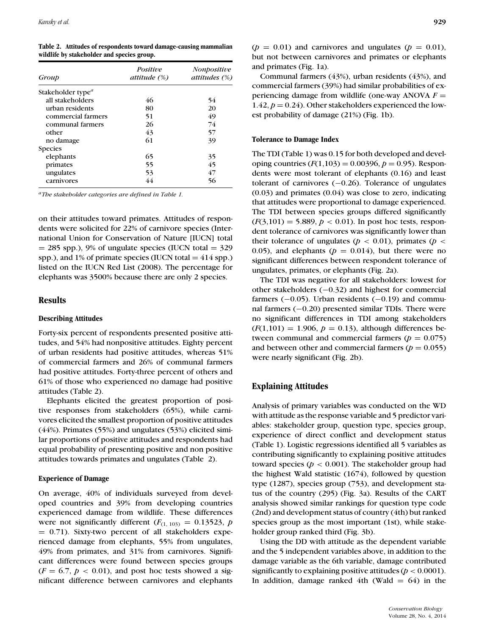**Table 2. Attitudes of respondents toward damage-causing mammalian wildlife by stakeholder and species group.**

| Group                         | Positive<br>attitude (%) | <i>Nonpositive</i><br>attitudes $(\%)$ |
|-------------------------------|--------------------------|----------------------------------------|
| Stakeholder type <sup>a</sup> |                          |                                        |
| all stakeholders              | 46                       | 54                                     |
| urban residents               | 80                       | 20                                     |
| commercial farmers            | 51                       | 49                                     |
| communal farmers              | 26                       | 74                                     |
| other                         | 43                       | 57                                     |
| no damage                     | 61                       | 39                                     |
| <b>Species</b>                |                          |                                        |
| elephants                     | 65                       | 35                                     |
| primates                      | 55                       | 45                                     |
| ungulates                     | 53                       | 47                                     |
| carnivores                    | 44                       | 56                                     |

*aThe stakeholder categories are defined in Table 1.*

on their attitudes toward primates. Attitudes of respondents were solicited for 22% of carnivore species (International Union for Conservation of Nature [IUCN] total  $= 285$  spp.), 9% of ungulate species (IUCN total  $= 329$ spp.), and 1% of primate species (IUCN total  $= 414$  spp.) listed on the IUCN Red List (2008). The percentage for elephants was 3500% because there are only 2 species.

#### **Results**

#### **Describing Attitudes**

Forty-six percent of respondents presented positive attitudes, and 54% had nonpositive attitudes. Eighty percent of urban residents had positive attitudes, whereas 51% of commercial farmers and 26% of communal farmers had positive attitudes. Forty-three percent of others and 61% of those who experienced no damage had positive attitudes (Table 2).

Elephants elicited the greatest proportion of positive responses from stakeholders (65%), while carnivores elicited the smallest proportion of positive attitudes (44%). Primates (55%) and ungulates (53%) elicited similar proportions of positive attitudes and respondents had equal probability of presenting positive and non positive attitudes towards primates and ungulates (Table 2).

#### **Experience of Damage**

On average, 40% of individuals surveyed from developed countries and 39% from developing countries experienced damage from wildlife. These differences were not significantly different  $(F_{(1, 103)} = 0.13523, p$ = 0.71). Sixty-two percent of all stakeholders experienced damage from elephants, 55% from ungulates, 49% from primates, and 31% from carnivores. Significant differences were found between species groups  $(F = 6.7, p < 0.01)$ , and post hoc tests showed a significant difference between carnivores and elephants  $(p = 0.01)$  and carnivores and ungulates  $(p = 0.01)$ , but not between carnivores and primates or elephants and primates (Fig. 1a).

Communal farmers (43%), urban residents (43%), and commercial farmers (39%) had similar probabilities of experiencing damage from wildlife (one-way ANOVA  $F =$ 1.42,  $p = 0.24$ ). Other stakeholders experienced the lowest probability of damage (21%) (Fig. 1b).

#### **Tolerance to Damage Index**

The TDI (Table 1) was 0.15 for both developed and developing countries  $(F(1,103) = 0.00396, p = 0.95)$ . Respondents were most tolerant of elephants (0.16) and least tolerant of carnivores (−0.26). Tolerance of ungulates (0.03) and primates (0.04) was close to zero, indicating that attitudes were proportional to damage experienced. The TDI between species groups differed significantly  $(F(3,101) = 5.889, p < 0.01)$ . In post hoc tests, respondent tolerance of carnivores was significantly lower than their tolerance of ungulates ( $p < 0.01$ ), primates ( $p <$ 0.05), and elephants ( $p = 0.014$ ), but there were no significant differences between respondent tolerance of ungulates, primates, or elephants (Fig. 2a).

The TDI was negative for all stakeholders: lowest for other stakeholders (−0.32) and highest for commercial farmers  $(-0.05)$ . Urban residents  $(-0.19)$  and communal farmers (−0.20) presented similar TDIs. There were no significant differences in TDI among stakeholders  $(F(1,101) = 1.906, p = 0.13)$ , although differences between communal and commercial farmers ( $p = 0.075$ ) and between other and commercial farmers ( $p = 0.055$ ) were nearly significant (Fig. 2b).

#### **Explaining Attitudes**

Analysis of primary variables was conducted on the WD with attitude as the response variable and 5 predictor variables: stakeholder group, question type, species group, experience of direct conflict and development status (Table 1). Logistic regressions identified all 5 variables as contributing significantly to explaining positive attitudes toward species ( $p < 0.001$ ). The stakeholder group had the highest Wald statistic (1674), followed by question type (1287), species group (753), and development status of the country (295) (Fig. 3a). Results of the CART analysis showed similar rankings for question type code (2nd) and development status of country (4th) but ranked species group as the most important (1st), while stakeholder group ranked third (Fig. 3b).

Using the DD with attitude as the dependent variable and the 5 independent variables above, in addition to the damage variable as the 6th variable, damage contributed significantly to explaining positive attitudes  $(p < 0.0001)$ . In addition, damage ranked 4th (Wald  $= 64$ ) in the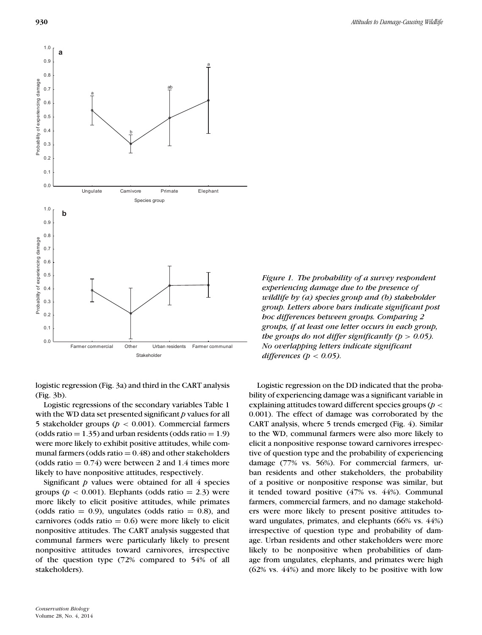

logistic regression (Fig. 3a) and third in the CART analysis (Fig. 3b).

Logistic regressions of the secondary variables Table 1 with the WD data set presented significant *p* values for all 5 stakeholder groups (*p* < 0.001). Commercial farmers (odds ratio  $= 1.35$ ) and urban residents (odds ratio  $= 1.9$ ) were more likely to exhibit positive attitudes, while communal farmers (odds ratio  $= 0.48$ ) and other stakeholders (odds ratio  $= 0.74$ ) were between 2 and 1.4 times more likely to have nonpositive attitudes, respectively.

Significant *p* values were obtained for all 4 species groups ( $p < 0.001$ ). Elephants (odds ratio = 2.3) were more likely to elicit positive attitudes, while primates (odds ratio  $= 0.9$ ), ungulates (odds ratio  $= 0.8$ ), and carnivores (odds ratio  $= 0.6$ ) were more likely to elicit nonpositive attitudes. The CART analysis suggested that communal farmers were particularly likely to present nonpositive attitudes toward carnivores, irrespective of the question type (72% compared to 54% of all stakeholders).

*Figure 1. The probability of a survey respondent experiencing damage due to the presence of wildlife by (a) species group and (b) stakeholder group. Letters above bars indicate significant post hoc differences between groups. Comparing 2 groups, if at least one letter occurs in each group, the groups do not differ significantly (* $p > 0.05$ *). No overlapping letters indicate significant differences (p* < *0.05).*

Logistic regression on the DD indicated that the probability of experiencing damage was a significant variable in explaining attitudes toward different species groups (*p* < 0.001). The effect of damage was corroborated by the CART analysis, where 5 trends emerged (Fig. 4). Similar to the WD, communal farmers were also more likely to elicit a nonpositive response toward carnivores irrespective of question type and the probability of experiencing damage (77% vs. 56%). For commercial farmers, urban residents and other stakeholders, the probability of a positive or nonpositive response was similar, but it tended toward positive (47% vs. 44%). Communal farmers, commercial farmers, and no damage stakeholders were more likely to present positive attitudes toward ungulates, primates, and elephants (66% vs. 44%) irrespective of question type and probability of damage. Urban residents and other stakeholders were more likely to be nonpositive when probabilities of damage from ungulates, elephants, and primates were high (62% vs. 44%) and more likely to be positive with low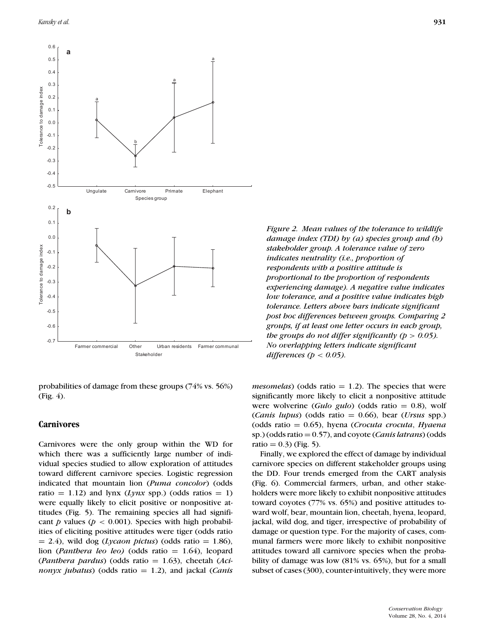

probabilities of damage from these groups (74% vs. 56%)  $(Fig. 4)$ .

## **Carnivores**

Carnivores were the only group within the WD for which there was a sufficiently large number of individual species studied to allow exploration of attitudes toward different carnivore species. Logistic regression indicated that mountain lion (*Puma concolor*) (odds ratio = 1.12) and lynx (*Lynx* spp.) (odds ratios = 1) were equally likely to elicit positive or nonpositive attitudes (Fig. 5). The remaining species all had significant *p* values ( $p < 0.001$ ). Species with high probabilities of eliciting positive attitudes were tiger (odds ratio  $= 2.4$ ), wild dog (*Lycaon pictus*) (odds ratio  $= 1.86$ ), lion (*Panthera leo leo)* (odds ratio = 1.64), leopard (*Panthera pardus*) (odds ratio = 1.63), cheetah (*Acinonyx jubatus*) (odds ratio = 1.2), and jackal (*Canis*

*Figure 2. Mean values of the tolerance to wildlife damage index (TDI) by (a) species group and (b) stakeholder group. A tolerance value of zero indicates neutrality (i.e., proportion of respondents with a positive attitude is proportional to the proportion of respondents experiencing damage). A negative value indicates low tolerance, and a positive value indicates high tolerance. Letters above bars indicate significant post hoc differences between groups. Comparing 2 groups, if at least one letter occurs in each group, the groups do not differ significantly (* $p > 0.05$ *). No overlapping letters indicate significant differences (p* < *0.05).*

*mesomelas*) (odds ratio  $= 1.2$ ). The species that were significantly more likely to elicit a nonpositive attitude were wolverine (*Gulo gulo*) (odds ratio = 0.8), wolf (*Canis lupus*) (odds ratio = 0.66), bear (*Ursus* spp.) (odds ratio = 0.65), hyena (*Crocuta crocuta*, *Hyaena* sp.) (odds ratio = 0.57), and coyote (*Canis latrans*) (odds  $ratio = 0.3$ ) (Fig. 5).

Finally, we explored the effect of damage by individual carnivore species on different stakeholder groups using the DD. Four trends emerged from the CART analysis (Fig. 6). Commercial farmers, urban, and other stakeholders were more likely to exhibit nonpositive attitudes toward coyotes (77% vs. 65%) and positive attitudes toward wolf, bear, mountain lion, cheetah, hyena, leopard, jackal, wild dog, and tiger, irrespective of probability of damage or question type. For the majority of cases, communal farmers were more likely to exhibit nonpositive attitudes toward all carnivore species when the probability of damage was low (81% vs. 65%), but for a small subset of cases (300), counter-intuitively, they were more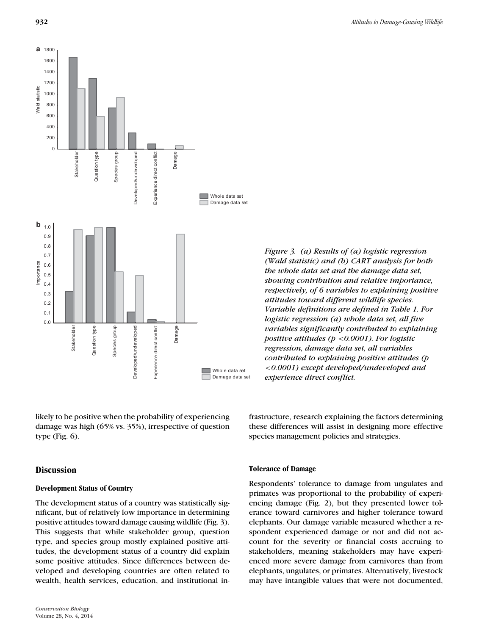

likely to be positive when the probability of experiencing damage was high (65% vs. 35%), irrespective of question type (Fig. 6).

## **Discussion**

## **Development Status of Country**

The development status of a country was statistically significant, but of relatively low importance in determining positive attitudes toward damage causing wildlife (Fig. 3). This suggests that while stakeholder group, question type, and species group mostly explained positive attitudes, the development status of a country did explain some positive attitudes. Since differences between developed and developing countries are often related to wealth, health services, education, and institutional in-

*Conservation Biology* Volume 28, No. 4, 2014

*Figure 3. (a) Results of (a) logistic regression (Wald statistic) and (b) CART analysis for both the whole data set and the damage data set, showing contribution and relative importance, respectively, of 6 variables to explaining positive attitudes toward different wildlife species. Variable definitions are defined in Table 1. For logistic regression (a) whole data set, all five variables significantly contributed to explaining positive attitudes (p* <*0.0001). For logistic regression, damage data set, all variables contributed to explaining positive attitudes (p* <*0.0001) except developed/undeveloped and*

*experience direct conflict.*

frastructure, research explaining the factors determining these differences will assist in designing more effective species management policies and strategies.

#### **Tolerance of Damage**

Respondents' tolerance to damage from ungulates and primates was proportional to the probability of experiencing damage (Fig. 2), but they presented lower tolerance toward carnivores and higher tolerance toward elephants. Our damage variable measured whether a respondent experienced damage or not and did not account for the severity or financial costs accruing to stakeholders, meaning stakeholders may have experienced more severe damage from carnivores than from elephants, ungulates, or primates. Alternatively, livestock may have intangible values that were not documented,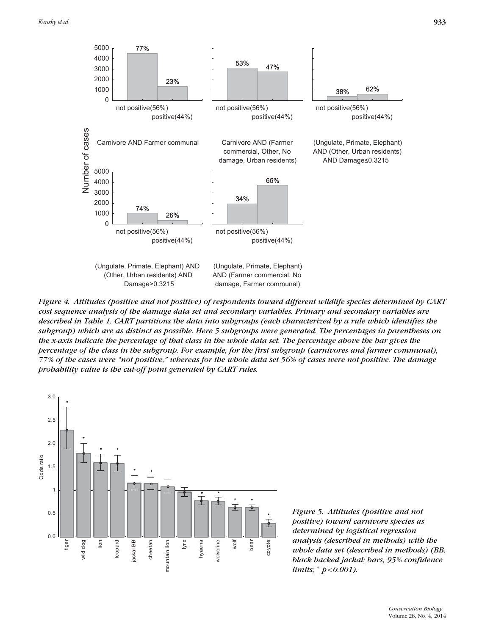

*Figure 4. Attitudes (positive and not positive) of respondents toward different wildlife species determined by CART cost sequence analysis of the damage data set and secondary variables. Primary and secondary variables are described in Table 1. CART partitions the data into subgroups (each characterized by a rule which identifies the subgroup) which are as distinct as possible. Here 5 subgroups were generated. The percentages in parentheses on the x-axis indicate the percentage of that class in the whole data set. The percentage above the bar gives the percentage of the class in the subgroup. For example, for the first subgroup (carnivores and farmer communal), 77% of the cases were "not positive," whereas for the whole data set 56% of cases were not positive. The damage probability value is the cut-off point generated by CART rules.*



 *Figure 5. Attitudes (positive and not positive) toward carnivore species as determined by logistical regression analysis (described in methods) with the whole data set (described in methods) (BB, black backed jackal; bars, 95% confidence limits;* <sup>∗</sup> *p*<*0.001).*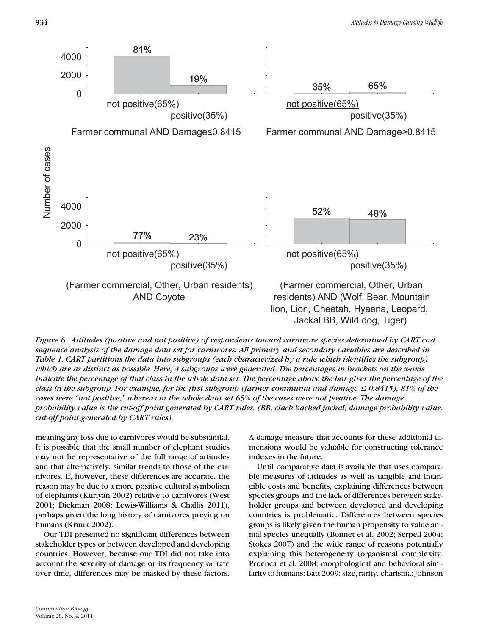

*Figure 6. Attitudes (positive and not positive) of respondents toward carnivore species determined by CART cost sequence analysis of the damage data set for carnivores. All primary and secondary variables are described in Table 1. CART partitions the data into subgroups (each characterized by a rule which identifies the subgroup) which are as distinct as possible. Here, 4 subgroups were generated. The percentages in brackets on the x-axis indicate the percentage of that class in the whole data set. The percentage above the bar gives the percentage of the* class in the subgroup. For example, for the first subgroup (farmer communal and damage  $\leq 0.8415$ ), 81% of the *cases were "not positive," whereas in the whole data set 65% of the cases were not positive. The damage probability value is the cut-off point generated by CART rules. (BB, clack backed jackal; damage probability value, cut-off point generated by CART rules).*

meaning any loss due to carnivores would be substantial. It is possible that the small number of elephant studies may not be representative of the full range of attitudes and that alternatively, similar trends to those of the carnivores. If, however, these differences are accurate, the reason may be due to a more positive cultural symbolism of elephants (Kuriyan 2002) relative to carnivores (West 2001; Dickman 2008; Lewis-Williams & Challis 2011), perhaps given the long history of carnivores preying on humans (Kruuk 2002).

Our TDI presented no significant differences between stakeholder types or between developed and developing countries. However, because our TDI did not take into account the severity of damage or its frequency or rate over time, differences may be masked by these factors.

A damage measure that accounts for these additional dimensions would be valuable for constructing tolerance indexes in the future.

Until comparative data is available that uses comparable measures of attitudes as well as tangible and intangible costs and benefits, explaining differences between species groups and the lack of differences between stakeholder groups and between developed and developing countries is problematic. Differences between species groups is likely given the human propensity to value animal species unequally (Bonnet et al. 2002; Serpell 2004; Stokes 2007) and the wide range of reasons potentially explaining this heterogeneity (organismal complexity: Proenca et al. 2008; morphological and behavioral similarity to humans: Batt 2009; size, rarity, charisma: Johnson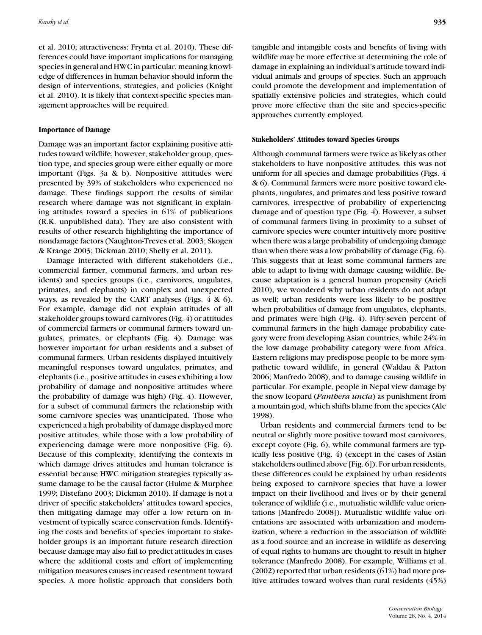et al. 2010; attractiveness: Frynta et al. 2010). These differences could have important implications for managing species in general and HWC in particular, meaning knowledge of differences in human behavior should inform the design of interventions, strategies, and policies (Knight et al. 2010). It is likely that context-specific species management approaches will be required.

#### **Importance of Damage**

Damage was an important factor explaining positive attitudes toward wildlife; however, stakeholder group, question type, and species group were either equally or more important (Figs. 3a & b). Nonpositive attitudes were presented by 39% of stakeholders who experienced no damage. These findings support the results of similar research where damage was not significant in explaining attitudes toward a species in 61% of publications (R.K. unpublished data). They are also consistent with results of other research highlighting the importance of nondamage factors (Naughton-Treves et al. 2003; Skogen & Krange 2003; Dickman 2010; Shelly et al. 2011).

Damage interacted with different stakeholders (i.e., commercial farmer, communal farmers, and urban residents) and species groups (i.e., carnivores, ungulates, primates, and elephants) in complex and unexpected ways, as revealed by the CART analyses (Figs. 4 & 6). For example, damage did not explain attitudes of all stakeholder groups toward carnivores (Fig. 4) or attitudes of commercial farmers or communal farmers toward ungulates, primates, or elephants (Fig. 4). Damage was however important for urban residents and a subset of communal farmers. Urban residents displayed intuitively meaningful responses toward ungulates, primates, and elephants (i.e., positive attitudes in cases exhibiting a low probability of damage and nonpositive attitudes where the probability of damage was high) (Fig. 4). However, for a subset of communal farmers the relationship with some carnivore species was unanticipated. Those who experienced a high probability of damage displayed more positive attitudes, while those with a low probability of experiencing damage were more nonpositive (Fig. 6). Because of this complexity, identifying the contexts in which damage drives attitudes and human tolerance is essential because HWC mitigation strategies typically assume damage to be the causal factor (Hulme & Murphee 1999; Distefano 2003; Dickman 2010). If damage is not a driver of specific stakeholders' attitudes toward species, then mitigating damage may offer a low return on investment of typically scarce conservation funds. Identifying the costs and benefits of species important to stakeholder groups is an important future research direction because damage may also fail to predict attitudes in cases where the additional costs and effort of implementing mitigation measures causes increased resentment toward species. A more holistic approach that considers both tangible and intangible costs and benefits of living with wildlife may be more effective at determining the role of damage in explaining an individual's attitude toward individual animals and groups of species. Such an approach could promote the development and implementation of spatially extensive policies and strategies, which could prove more effective than the site and species-specific approaches currently employed.

## **Stakeholders' Attitudes toward Species Groups**

Although communal farmers were twice as likely as other stakeholders to have nonpositive attitudes, this was not uniform for all species and damage probabilities (Figs. 4 & 6). Communal farmers were more positive toward elephants, ungulates, and primates and less positive toward carnivores, irrespective of probability of experiencing damage and of question type (Fig. 4). However, a subset of communal farmers living in proximity to a subset of carnivore species were counter intuitively more positive when there was a large probability of undergoing damage than when there was a low probability of damage (Fig. 6). This suggests that at least some communal farmers are able to adapt to living with damage causing wildlife. Because adaptation is a general human propensity (Arieli 2010), we wondered why urban residents do not adapt as well; urban residents were less likely to be positive when probabilities of damage from ungulates, elephants, and primates were high (Fig. 4). Fifty-seven percent of communal farmers in the high damage probability category were from developing Asian countries, while 24% in the low damage probability category were from Africa. Eastern religions may predispose people to be more sympathetic toward wildlife, in general (Waldau & Patton 2006; Manfredo 2008), and to damage causing wildlife in particular. For example, people in Nepal view damage by the snow leopard (*Panthera uncia*) as punishment from a mountain god, which shifts blame from the species (Ale 1998).

Urban residents and commercial farmers tend to be neutral or slightly more positive toward most carnivores, except coyote (Fig. 6), while communal farmers are typically less positive (Fig. 4) (except in the cases of Asian stakeholders outlined above [Fig. 6]). For urban residents, these differences could be explained by urban residents being exposed to carnivore species that have a lower impact on their livelihood and lives or by their general tolerance of wildlife (i.e., mutualistic wildlife value orientations [Manfredo 2008]). Mutualistic wildlife value orientations are associated with urbanization and modernization, where a reduction in the association of wildlife as a food source and an increase in wildlife as deserving of equal rights to humans are thought to result in higher tolerance (Manfredo 2008). For example, Williams et al. (2002) reported that urban residents (61%) had more positive attitudes toward wolves than rural residents (45%)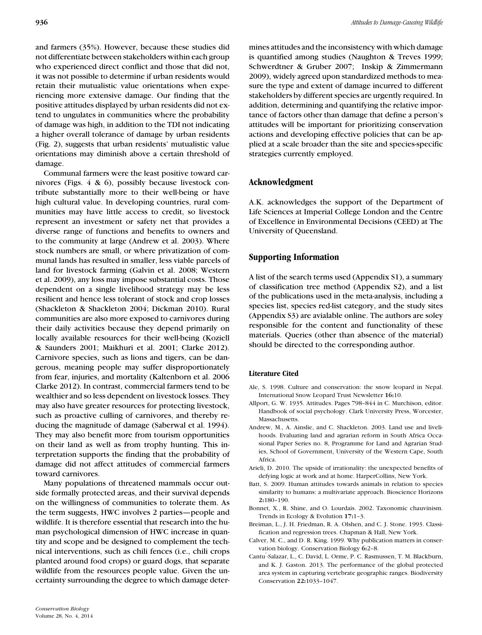and farmers (35%). However, because these studies did not differentiate between stakeholders within each group who experienced direct conflict and those that did not, it was not possible to determine if urban residents would retain their mutualistic value orientations when experiencing more extensive damage. Our finding that the positive attitudes displayed by urban residents did not extend to ungulates in communities where the probability of damage was high, in addition to the TDI not indicating a higher overall tolerance of damage by urban residents (Fig. 2), suggests that urban residents' mutualistic value orientations may diminish above a certain threshold of damage.

Communal farmers were the least positive toward carnivores (Figs. 4 & 6), possibly because livestock contribute substantially more to their well-being or have high cultural value. In developing countries, rural communities may have little access to credit, so livestock represent an investment or safety net that provides a diverse range of functions and benefits to owners and to the community at large (Andrew et al. 2003). Where stock numbers are small, or where privatization of communal lands has resulted in smaller, less viable parcels of land for livestock farming (Galvin et al. 2008; Western et al. 2009), any loss may impose substantial costs. Those dependent on a single livelihood strategy may be less resilient and hence less tolerant of stock and crop losses (Shackleton & Shackleton 2004; Dickman 2010). Rural communities are also more exposed to carnivores during their daily activities because they depend primarily on locally available resources for their well-being (Koziell & Saunders 2001; Maikhuri et al. 2001; Clarke 2012). Carnivore species, such as lions and tigers, can be dangerous, meaning people may suffer disproportionately from fear, injuries, and mortality (Kaltenborn et al. 2006 Clarke 2012). In contrast, commercial farmers tend to be wealthier and so less dependent on livestock losses. They may also have greater resources for protecting livestock, such as proactive culling of carnivores, and thereby reducing the magnitude of damage (Saberwal et al. 1994). They may also benefit more from tourism opportunities on their land as well as from trophy hunting. This interpretation supports the finding that the probability of damage did not affect attitudes of commercial farmers toward carnivores.

Many populations of threatened mammals occur outside formally protected areas, and their survival depends on the willingness of communities to tolerate them. As the term suggests, HWC involves 2 parties—people and wildlife. It is therefore essential that research into the human psychological dimension of HWC increase in quantity and scope and be designed to complement the technical interventions, such as chili fences (i.e., chili crops planted around food crops) or guard dogs, that separate wildlife from the resources people value. Given the uncertainty surrounding the degree to which damage determines attitudes and the inconsistency with which damage is quantified among studies (Naughton & Treves 1999; Schwerdtner & Gruber 2007; Inskip & Zimmermann 2009), widely agreed upon standardized methods to measure the type and extent of damage incurred to different stakeholders by different species are urgently required. In addition, determining and quantifying the relative importance of factors other than damage that define a person's attitudes will be important for prioritizing conservation actions and developing effective policies that can be applied at a scale broader than the site and species-specific strategies currently employed.

## **Acknowledgment**

A.K. acknowledges the support of the Department of Life Sciences at Imperial College London and the Centre of Excellence in Environmental Decisions (CEED) at The University of Queensland.

## **Supporting Information**

A list of the search terms used (Appendix S1), a summary of classification tree method (Appendix S2), and a list of the publications used in the meta-analysis, including a species list, species red-list category, and the study sites (Appendix S3) are avialable online. The authors are soley responsible for the content and functionality of these materials. Queries (other than absence of the material) should be directed to the corresponding author.

#### **Literature Cited**

- Ale, S. 1998. Culture and conservation: the snow leopard in Nepal. International Snow Leopard Trust Newsletter **16:**10.
- Allport, G. W. 1935. Attitudes. Pages 798–844 in C. Murchison, editor. Handbook of social psychology. Clark University Press, Worcester, Massachusetts.
- Andrew, M., A. Ainslie, and C. Shackleton. 2003. Land use and livelihoods. Evaluating land and agrarian reform in South Africa Occasional Paper Series no. 8, Programme for Land and Agrarian Studies, School of Government, University of the Western Cape, South Africa.
- Arieli, D. 2010. The upside of irrationality: the unexpected benefits of defying logic at work and at home. HarperCollins, New York.
- Batt, S. 2009. Human attitudes towards animals in relation to species similarity to humans: a multivariate approach. Bioscience Horizons **2:**180–190.
- Bonnet, X., R. Shine, and O. Lourdais. 2002. Taxonomic chauvinism. Trends in Ecology & Evolution **17:**1–3.
- Breiman, L., J. H. Friedman, R. A. Olshen, and C. J. Stone. 1993. Classification and regression trees. Chapman & Hall, New York.
- Calver, M. C., and D. R. King. 1999. Why publication matters in conservation biology. Conservation Biology **6:**2–8.
- Cantu ́-Salazar, L., C. David, L. Orme, P. C. Rasmussen, T. M. Blackburn, and K. J. Gaston. 2013. The performance of the global protected area system in capturing vertebrate geographic ranges. Biodiversity Conservation **22:**1033–1047.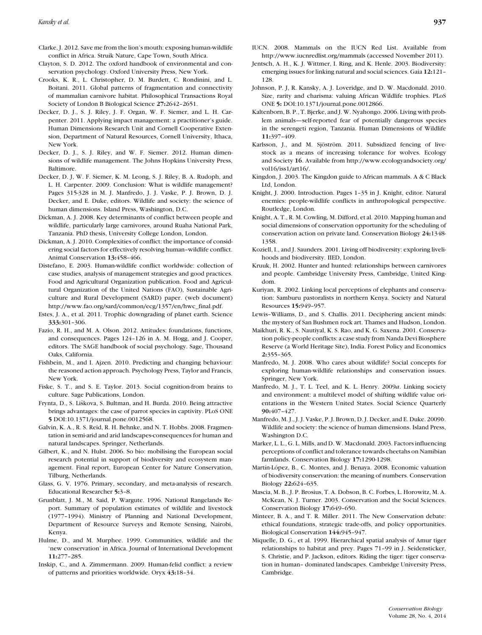- Clarke, J. 2012. Save me from the lion's mouth: exposing human-wildlife conflict in Africa. Struik Nature, Cape Town, South Africa.
- Clayton, S. D. 2012. The oxford handbook of environmental and conservation psychology. Oxford University Press, New York.
- Crooks, K. R., L. Christopher, D. M. Burdett, C. Rondinini, and L. Boitani. 2011. Global patterns of fragmentation and connectivity of mammalian carnivore habitat. Philosophical Transactions Royal Society of London B Biological Science **27:**2642–2651.
- Decker, D. J., S. J. Riley, J. F. Organ, W. F. Siemer, and L. H. Carpenter. 2011. Applying impact management: a practitioner's guide. Human Dimensions Research Unit and Cornell Cooperative Extension, Department of Natural Resources, Cornell University, Ithaca, New York.
- Decker, D. J., S. J. Riley, and W. F. Siemer. 2012. Human dimensions of wildlife management. The Johns Hopkins University Press, Baltimore.
- Decker, D. J, W. F. Siemer, K. M. Leong, S. J. Riley, B. A. Rudoph, and L. H. Carpenter. 2009. Conclusion: What is wildlife management? Pages 315-328 in M. J. Manfredo, J. J. Vaske, P. J. Brown, D. J. Decker, and E. Duke, editors. Wildlife and society: the science of human dimensions. Island Press, Washington, D.C.
- Dickman, A. J. 2008. Key determinants of conflict between people and wildlife, particularly large carnivores, around Ruaha National Park, Tanzania. PhD thesis, University College London, London.
- Dickman, A. J. 2010. Complexities of conflict: the importance of considering social factors for effectively resolving human–wildlife conflict. Animal Conservation **13:**458–466.
- Distefano, E. 2003. Human-wildlife conflict worldwide: collection of case studies, analysis of management strategies and good practices. Food and Agricultural Organization publication. Food and Agricultural Organization of the United Nations (FAO), Sustainable Agriculture and Rural Development (SARD) paper. (web document) http://www.fao.org/sard/common/ecg/1357/en/hwc\_final.pdf.
- Estes, J. A., et al. 2011. Trophic downgrading of planet earth. Science **333:**301–306.
- Fazio, R. H., and M. A. Olson. 2012. Attitudes: foundations, functions, and consequences. Pages 124–126 in A. M. Hogg, and J. Cooper, editors. The SAGE handbook of social psychology. Sage, Thousand Oaks, California.
- Fishbein, M., and I. Ajzen. 2010. Predicting and changing behaviour: the reasoned action approach. Psychology Press, Taylor and Francis, New York.
- Fiske, S. T., and S. E. Taylor. 2013. Social cognition-from brains to culture. Sage Publications, London.
- Frynta, D., S. Liškova, S. Bultman, and H. Burda. 2010. Being attractive brings advantages: the case of parrot species in captivity. PLoS ONE **5** DOI:10.1371/journal.pone.0012568.
- Galvin, K. A., R. S. Reid, R. H. Behnke, and N. T. Hobbs. 2008. Fragmentation in semi-arid and arid landscapes-consequences for human and natural landscapes. Springer, Netherlands.
- Gilbert, K., and N. Hulst. 2006. So bio: mobilising the European social research potential in support of biodiversity and ecosystem management. Final report, European Center for Nature Conservation, Tilburg, Netherlands.
- Glass, G. V. 1976. Primary, secondary, and meta-analysis of research. Educational Researcher **5:**3–8.
- Grunblatt, J. M., M. Said, P. Wargute. 1996. National Rangelands Report. Summary of population estimates of wildlife and livestock (1977–1994). Ministry of Planning and National Development, Department of Resource Surveys and Remote Sensing, Nairobi, Kenya.
- Hulme, D., and M. Murphee. 1999. Communities, wildlife and the 'new conservation' in Africa. Journal of International Development **11:**277–285.
- Inskip, C., and A. Zimmermann. 2009. Human-felid conflict: a review of patterns and priorities worldwide. Oryx **43:**18–34.
- IUCN. 2008. Mammals on the IUCN Red List. Available from http://www.iucnredlist.org/mammals (accessed November 2011).
- Jentsch, A. H., K. J. Wittmer, I. Ring, and K. Henle. 2003. Biodiversity: emerging issues for linking natural and social sciences. Gaia **12:**121– 128.
- Johnson, P. J, R. Kansky, A. J. Loveridge, and D. W. Macdonald. 2010. Size, rarity and charisma: valuing African Wildlife trophies. PLoS ONE **5:** DOI:10.1371/journal.pone.0012866.
- Kaltenborn, B. P., T. Bjerke, and J. W. Nyahongo. 2006. Living with problem animals—self-reported fear of potentially dangerous species in the serengeti region, Tanzania. Human Dimensions of Wildlife **11:**397–409.
- Karlsson, J., and M. Sjöström. 2011. Subsidized fencing of livestock as a means of increasing tolerance for wolves. Ecology and Society **16**. Available from http://www.ecologyandsociety.org/ vol16/iss1/art16/.
- Kingdon, J. 2003. The Kingdon guide to African mammals. A & C Black Ltd, London.
- Knight, J. 2000. Introduction. Pages 1–35 in J. Knight, editor. Natural enemies: people-wildlife conflicts in anthropological perspective. Routledge, London.
- Knight, A. T., R. M. Cowling, M. Difford, et al. 2010. Mapping human and social dimensions of conservation opportunity for the scheduling of conservation action on private land. Conservation Biology **24:**1348- 1358.
- Koziell, I., and J. Saunders. 2001. Living off biodiversity: exploring livelihoods and biodiversity. IIED, London.
- Kruuk, H. 2002. Hunter and hunted: relationships between carnivores and people. Cambridge University Press, Cambridge, United Kingdom.
- Kuriyan, R. 2002. Linking local perceptions of elephants and conservation: Samburu pastoralists in northern Kenya. Society and Natural Resources **15:**949–957.
- Lewis–Williams, D., and S. Challis. 2011. Deciphering ancient minds: the mystery of San Bushmen rock art. Thames and Hudson, London.
- Maikhuri, R. K., S. Nautiyal, K. S. Rao, and K. G. Saxena. 2001. Conservation policy-people conflicts: a case study from Nanda Devi Biosphere Reserve (a World Heritage Site), India. Forest Policy and Economics **2:**355–365.
- Manfredo, M. J. 2008. Who cares about wildlife? Social concepts for exploring human-wildlife relationships and conservation issues. Springer, New York.
- Manfredo, M. J., T. L. Teel, and K. L. Henry. 2009*a*. Linking society and environment: a multilevel model of shifting wildlife value orientations in the Western United States. Social Science Quarterly **90:**407–427.
- Manfredo, M. J., J. J. Vaske, P. J. Brown, D. J. Decker, and E. Duke. 2009*b*. Wildlife and society: the science of human dimensions. Island Press, Washington D.C.
- Marker, L. L., G. L. Mills, and D. W. Macdonald. 2003. Factors influencing perceptions of conflict and tolerance towards cheetahs on Namibian farmlands. Conservation Biology **17:**1290-1298.
- Martín-López, B., C. Montes, and J. Benaya. 2008. Economic valuation of biodiversity conservation: the meaning of numbers. Conservation Biology **22:**624–635.
- Mascia, M. B., J. P. Brosius, T. A. Dobson, B. C. Forbes, L. Horowitz, M. A. McKean, N. J. Turner. 2003. Conservation and the Social Sciences. Conservation Biology **17:**649–650.
- Minteer, B. A., and T. R. Miller. 2011. The New Conservation debate: ethical foundations, strategic trade-offs, and policy opportunities. Biological Conservation **144:**945–947.
- Miquelle, D. G., et al. 1999. Hierarchical spatial analysis of Amur tiger relationships to habitat and prey. Pages 71–99 in J. Seidensticker, S. Christie, and P. Jackson, editors. Riding the tiger: tiger conservation in human– dominated landscapes. Cambridge University Press, Cambridge.